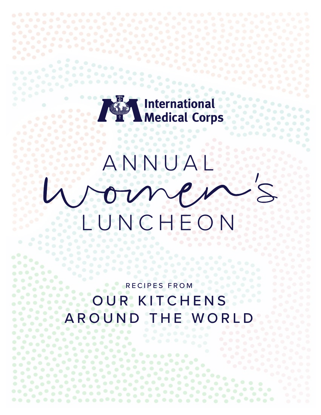## **International<br>Medical Corps**

# ANNUAL LUNCHEON

RECIPES FROM OUR KITCHENS AROUND THE WORL

 $\mathcal{L} = \mathcal{L}$ 

 $\begin{array}{c} \bullet & \bullet \\ \bullet & \bullet \end{array}$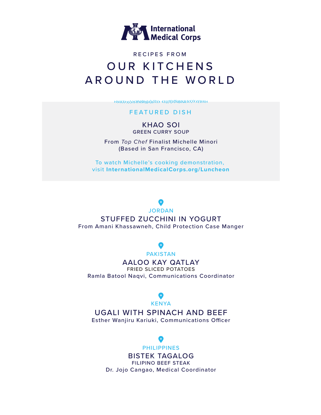

### RECIPES FROM OUR KITCHENS AROUND THE WORLD

#### FEATURED DISH

KHAO SOI GREEN CURRY SOUP

From *Top Chef* Finalist Michelle Minori (Based in San Francisco, CA)

To watch Michelle's cooking demonstration, visit **InternationalMedicalCorps.org/Luncheon**

JORDAN

### STUFFED ZUCCHINI IN YOGURT

From Amani Khassawneh, Child Protection Case Manger

#### PAKISTAN

AALOO KAY QATLAY

FRIED SLICED POTATOES Ramla Batool Naqvi, Communications Coordinator

**KENYA** 

#### UGALI WITH SPINACH AND BEEF

Esther Wanjiru Kariuki, Communications Officer

### O

#### PHILIPPINES

BISTEK TAGALOG FILIPINO BEEF STEAK Dr. Jojo Cangao, Medical Coordinator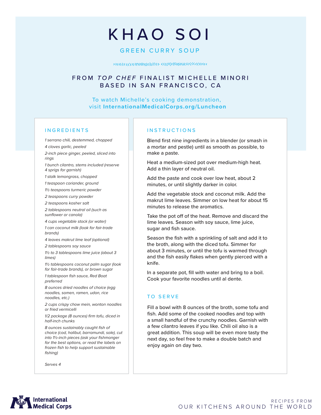# KHAO SOI

#### GREEN CURRY SOUP

#### FROM *TOP CHEF* FINALIST MICHELLE MINORI BASED IN SAN FRANCISCO, CA

To watch Michelle's cooking demonstration, visit **InternationalMedicalCorps.org/Luncheon**

#### INGREDIENTS

*1 serrano chili, destemmed, chopped*

*4 cloves garlic, peeled*

*2-inch piece ginger, peeled, sliced into rings*

*1 bunch cilantro, stems included (reserve 4 sprigs for garnish)*

*1 stalk lemongrass, chopped*

*1 teaspoon coriander, ground*

*1½ teaspoons turmeric powder*

*2 teaspoons curry powder*

*2 teaspoons kosher salt*

*2 tablespoons neutral oil (such as sunflower or canola)*

*4 cups vegetable stock (or water) 1 can coconut milk (look for fair-trade brands)*

*4 leaves makrut lime leaf (optional)*

*2 tablespoons soy sauce*

*1½ to 3 tablespoons lime juice (about 3 limes)*

*1½ tablespoons coconut palm sugar (look for fair-trade brands), or brown sugar*

*1 tablespoon fish sauce, Red Boat preferred*

*8 ounces dried noodles of choice (egg noodles, somen, ramen, udon, rice noodles, etc.)*

*2 cups crispy chow mein, wonton noodles or fried vermicelli*

*1/2 package (8 ounces) firm tofu, diced in half-inch chunks*

*8 ounces sustainably caught fish of choice (cod, halibut, barramundi, sole), cut into 1½-inch pieces (ask your fishmonger for the best options, or read the labels on frozen fish to help support sustainable fishing)*

*Serves 4*

#### INSTRUCTIONS

Blend first nine ingredients in a blender (or smash in a mortar and pestle) until as smooth as possible, to make a paste.

Heat a medium-sized pot over medium-high heat. Add a thin layer of neutral oil.

Add the paste and cook over low heat, about 2 minutes, or until slightly darker in color.

Add the vegetable stock and coconut milk. Add the makrut lime leaves. Simmer on low heat for about 15 minutes to release the aromatics.

Take the pot off of the heat. Remove and discard the lime leaves. Season with soy sauce, lime juice, sugar and fish sauce.

Season the fish with a sprinkling of salt and add it to the broth, along with the diced tofu. Simmer for about 3 minutes, or until the tofu is warmed through and the fish easily flakes when gently pierced with a knife.

In a separate pot, fill with water and bring to a boil. Cook your favorite noodles until al dente.

#### TO SERVE

Fill a bowl with 8 ounces of the broth, some tofu and fish. Add some of the cooked noodles and top with a small handful of the crunchy noodles. Garnish with a few cilantro leaves if you like. Chili oil also is a great addition. This soup will be even more tasty the next day, so feel free to make a double batch and enjoy again on day two.

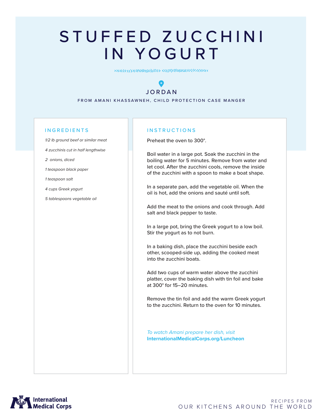# STUFFED ZUCCHINI IN YOGURT

### $\bullet$ JORDAN

FROM AMANI KHASSAWNEH, CHILD PROTECTION CASE MANGER

#### INGREDIENTS

*1/2 lb ground beef or similar meat 4 zucchinis cut in half lengthwise 2 onions, diced*

*1 teaspoon black paper* 

*1 teaspoon salt* 

*4 cups Greek yogurt* 

*5 tablespoons vegetable oil* 

#### **INSTRUCTIONS**

Preheat the oven to 300°.

Boil water in a large pot. Soak the zucchini in the boiling water for 5 minutes. Remove from water and let cool. After the zucchini cools, remove the inside of the zucchini with a spoon to make a boat shape.

In a separate pan, add the vegetable oil. When the oil is hot, add the onions and sauté until soft.

Add the meat to the onions and cook through. Add salt and black pepper to taste.

In a large pot, bring the Greek yogurt to a low boil. Stir the yogurt as to not burn.

In a baking dish, place the zucchini beside each other, scooped-side up, adding the cooked meat into the zucchini boats.

Add two cups of warm water above the zucchini platter, cover the baking dish with tin foil and bake at 300° for 15–20 minutes.

Remove the tin foil and add the warm Greek yogurt to the zucchini. Return to the oven for 10 minutes.

*To watch Amani prepare her dish, visit*  **InternationalMedicalCorps.org/Luncheon**

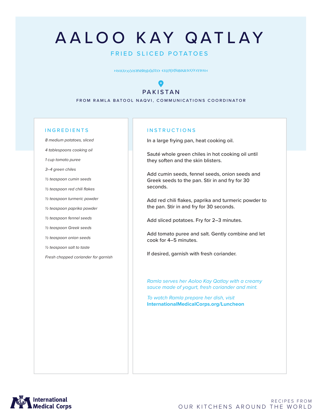# AALOO KAY QATLAY

#### FRIED SLICED POTATOES

#### $\bullet$ PAKISTAN

FROM RAMLA BATOOL NAQVI, COMMUNICATIONS COORDINATOR

#### INGREDIENTS

*8 medium potatoes, sliced*

*4 tablespoons cooking oil*

*1 cup tomato puree* 

*3–4 green chiles* 

*½ teaspoon cumin seeds* 

*½ teaspoon red chili flakes*

*½ teaspoon turmeric powder* 

*½ teaspoon paprika powder*

*½ teaspoon fennel seeds* 

*½ teaspoon Greek seeds*

*½ teaspoon onion seeds*

*½ teaspoon salt to taste*

*Fresh chopped coriander for garnish*

#### INSTRUCTIONS

In a large frying pan, heat cooking oil.

Sauté whole green chiles in hot cooking oil until they soften and the skin blisters.

Add cumin seeds, fennel seeds, onion seeds and Greek seeds to the pan. Stir in and fry for 30 seconds.

Add red chili flakes, paprika and turmeric powder to the pan. Stir in and fry for 30 seconds.

Add sliced potatoes. Fry for 2–3 minutes.

Add tomato puree and salt. Gently combine and let cook for 4–5 minutes.

If desired, garnish with fresh coriander.

*Ramla serves her Aoloo Kay Qatlay with a creamy sauce made of yogurt, fresh coriander and mint.* 

*To watch Ramla prepare her dish, visit*  **InternationalMedicalCorps.org/Luncheon**

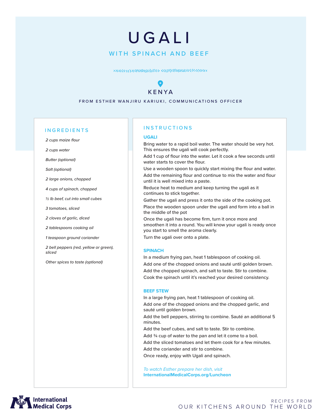### WITH SPINACH AND BEEF UGALI

### $\bullet$ KENYA

FROM ESTHER WANJIRU KARIUKI, COMMUNICATIONS OFFICER

#### INGREDIENTS

*2 cups maize flour*

*2 cups water*

*Butter (optional)*

*Salt (optional)*

*2 large onions, chopped*

*4 cups of spinach, chopped*

*½ lb beef, cut into small cubes*

*3 tomatoes, sliced*

*2 cloves of garlic, diced*

*2 tablespoons cooking oil*

*1 teaspoon ground coriander*

*2 bell peppers (red, yellow or green), sliced*

*Other spices to taste (optional)*

#### INSTRUCTIONS

#### **UGALI**

Bring water to a rapid boil water. The water should be very hot. This ensures the ugali will cook perfectly.

Add 1 cup of flour into the water. Let it cook a few seconds until water starts to cover the flour.

Use a wooden spoon to quickly start mixing the flour and water. Add the remaining flour and continue to mix the water and flour until it is well mixed into a paste.

Reduce heat to medium and keep turning the ugali as it continues to stick together.

Gather the ugali and press it onto the side of the cooking pot. Place the wooden spoon under the ugali and form into a ball in the middle of the pot

Once the ugali has become firm, turn it once more and smoothen it into a round. You will know your ugali is ready once you start to smell the aroma clearly.

Turn the ugali over onto a plate.

#### **SPINACH**

In a medium frying pan, heat 1 tablespoon of cooking oil. Add one of the chopped onions and sauté until golden brown. Add the chopped spinach, and salt to taste. Stir to combine. Cook the spinach until it's reached your desired consistency.

#### **BEEF STEW**

In a large frying pan, heat 1 tablespoon of cooking oil. Add one of the chopped onions and the chopped garlic, and sauté until golden brown.

Add the bell peppers, stirring to combine. Sauté an additional 5 minutes.

Add the beef cubes, and salt to taste. Stir to combine. Add 3/4 cup of water to the pan and let it come to a boil. Add the sliced tomatoes and let them cook for a few minutes. Add the coriander and stir to combine. Once ready, enjoy with Ugali and spinach.

*To watch Esther prepare her dish, visit*  **InternationalMedicalCorps.org/Luncheon**